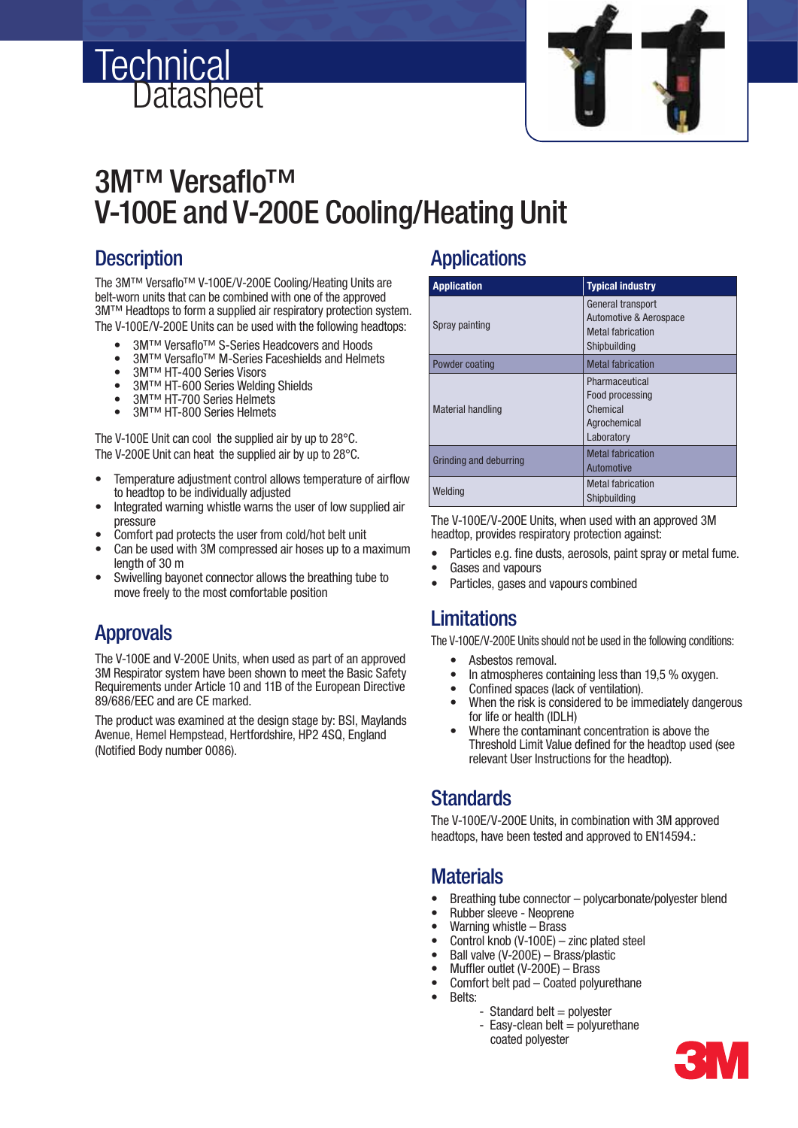



# 3M™ Versaflo™ V-100E and V-200E Cooling/Heating Unit

### **Description**

The 3M™ Versaflo™ V-100E/V-200E Cooling/Heating Units are belt-worn units that can be combined with one of the approved 3M™ Headtops to form a supplied air respiratory protection system. The V-100E/V-200E Units can be used with the following headtops:

- 3M™ Versaflo™ S-Series Headcovers and Hoods
- 3M™ Versaflo™ M-Series Faceshields and Helmets
- 3M™ HT-400 Series Visors<br>• 3M™ HT-600 Series Weldin
- 3M™ HT-600 Series Welding Shields
- 3M™ HT-700 Series Helmets
- 3M™ HT-800 Series Helmets

The V-100E Unit can cool the supplied air by up to 28°C. The V-200E Unit can heat the supplied air by up to 28°C.

- Temperature adjustment control allows temperature of airflow to headtop to be individually adjusted
- Integrated warning whistle warns the user of low supplied air pressure
- Comfort pad protects the user from cold/hot belt unit
- Can be used with 3M compressed air hoses up to a maximum length of 30 m
- Swivelling bayonet connector allows the breathing tube to move freely to the most comfortable position

### Approvals

 The V-100E and V-200E Units, when used as part of an approved 3M Respirator system have been shown to meet the Basic Safety Requirements under Article 10 and 11B of the European Directive 89/686/EEC and are CE marked.

The product was examined at the design stage by: BSI, Maylands Avenue, Hemel Hempstead, Hertfordshire, HP2 4SQ, England (Notified Body number 0086).

#### **Applications**

| <b>Application</b>       | <b>Typical industry</b>                                                                            |
|--------------------------|----------------------------------------------------------------------------------------------------|
| Spray painting           | General transport<br><b>Automotive &amp; Aerospace</b><br><b>Metal fabrication</b><br>Shipbuilding |
| Powder coating           | <b>Metal fabrication</b>                                                                           |
| <b>Material handling</b> | Pharmaceutical<br>Food processing<br>Chemical<br>Agrochemical<br>Laboratory                        |
| Grinding and deburring   | <b>Metal fabrication</b><br>Automotive                                                             |
| Weldina                  | <b>Metal fabrication</b><br>Shipbuilding                                                           |

 The V-100E/V-200E Units, when used with an approved 3M headtop, provides respiratory protection against:

- Particles e.g. fine dusts, aerosols, paint spray or metal fume.
- Gases and vapours
- Particles, gases and vapours combined

#### **Limitations**

The V-100E/V-200E Units should not be used in the following conditions:

- Asbestos removal.
- In atmospheres containing less than 19.5 % oxygen.
- Confined spaces (lack of ventilation).
- When the risk is considered to be immediately dangerous for life or health (IDLH)
- Where the contaminant concentration is above the Threshold Limit Value defined for the headtop used (see relevant User Instructions for the headtop).

#### **Standards**

 The V-100E/V-200E Units, in combination with 3M approved headtops, have been tested and approved to EN14594.:

#### **Materials**

- Breathing tube connector polycarbonate/polyester blend
- Rubber sleeve Neoprene
- Warning whistle Brass
- Control knob (V-100E) zinc plated steel
- Ball valve (V-200E) Brass/plastic
- Muffler outlet  $(V-200E)$  Brass
- Comfort belt pad Coated polyurethane
- Belts:
	- $-$  Standard belt = polvester
	- $-$  Easy-clean belt  $=$  polyurethane coated polyester